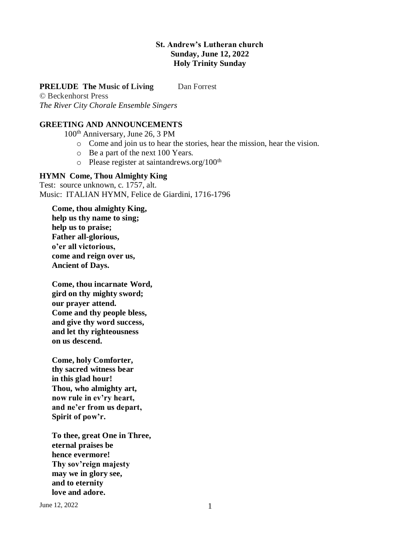## **St. Andrew's Lutheran church Sunday, June 12, 2022 Holy Trinity Sunday**

### **PRELUDE** The Music of Living Dan Forrest

© Beckenhorst Press *The River City Chorale Ensemble Singers* 

# **GREETING AND ANNOUNCEMENTS**

100th Anniversary, June 26, 3 PM

- o Come and join us to hear the stories, hear the mission, hear the vision.
- o Be a part of the next 100 Years.
- $\circ$  Please register at saintandrews.org/100<sup>th</sup>

### **HYMN Come, Thou Almighty King**

Test: source unknown, c. 1757, alt. Music: ITALIAN HYMN, Felice de Giardini, 1716-1796

**Come, thou almighty King, help us thy name to sing; help us to praise; Father all-glorious, o'er all victorious, come and reign over us, Ancient of Days.**

**Come, thou incarnate Word, gird on thy mighty sword; our prayer attend. Come and thy people bless, and give thy word success, and let thy righteousness on us descend.**

**Come, holy Comforter, thy sacred witness bear in this glad hour! Thou, who almighty art, now rule in ev'ry heart, and ne'er from us depart, Spirit of pow'r.**

**To thee, great One in Three, eternal praises be hence evermore! Thy sov'reign majesty may we in glory see, and to eternity love and adore.**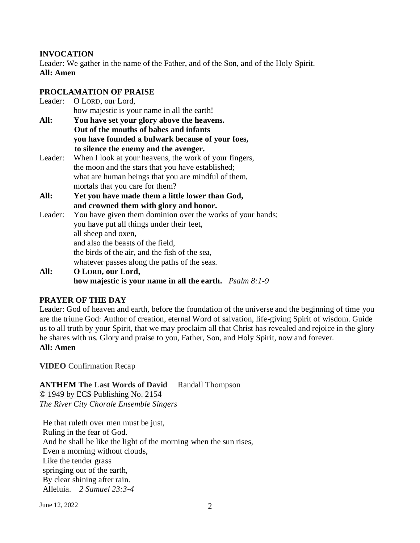# **INVOCATION**

Leader: We gather in the name of the Father, and of the Son, and of the Holy Spirit. **All: Amen**

# **PROCLAMATION OF PRAISE**

| Leader: | O LORD, our Lord,                                                   |
|---------|---------------------------------------------------------------------|
|         | how majestic is your name in all the earth!                         |
| All:    | You have set your glory above the heavens.                          |
|         | Out of the mouths of babes and infants                              |
|         | you have founded a bulwark because of your foes,                    |
|         | to silence the enemy and the avenger.                               |
| Leader: | When I look at your heavens, the work of your fingers,              |
|         | the moon and the stars that you have established;                   |
|         | what are human beings that you are mindful of them,                 |
|         | mortals that you care for them?                                     |
| All:    | Yet you have made them a little lower than God,                     |
|         | and crowned them with glory and honor.                              |
| Leader: | You have given them dominion over the works of your hands;          |
|         | you have put all things under their feet,                           |
|         | all sheep and oxen,                                                 |
|         | and also the beasts of the field,                                   |
|         | the birds of the air, and the fish of the sea,                      |
|         | whatever passes along the paths of the seas.                        |
| All:    | O LORD, our Lord,                                                   |
|         | how majestic is your name in all the earth. $P_{\text{Salm}} 8:1-9$ |

# **PRAYER OF THE DAY**

Leader: God of heaven and earth, before the foundation of the universe and the beginning of time you are the triune God: Author of creation, eternal Word of salvation, life-giving Spirit of wisdom. Guide us to all truth by your Spirit, that we may proclaim all that Christ has revealed and rejoice in the glory he shares with us. Glory and praise to you, Father, Son, and Holy Spirit, now and forever. **All: Amen**

**VIDEO** Confirmation Recap

# **ANTHEM The Last Words of David** Randall Thompson

© 1949 by ECS Publishing No. 2154 *The River City Chorale Ensemble Singers* 

He that ruleth over men must be just, Ruling in the fear of God. And he shall be like the light of the morning when the sun rises, Even a morning without clouds, Like the tender grass springing out of the earth, By clear shining after rain. Alleluia. *2 Samuel 23:3-4*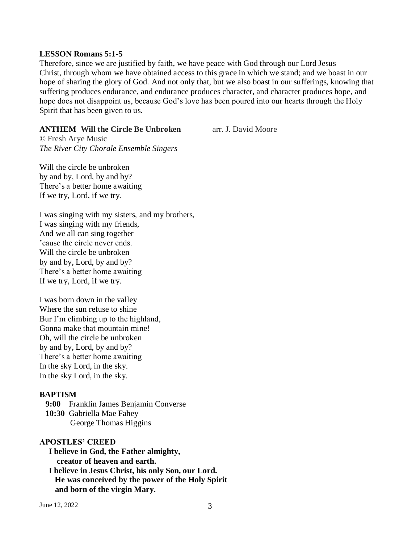#### **LESSON Romans 5:1-5**

Therefore, since we are justified by faith, we have peace with God through our Lord Jesus Christ, through whom we have obtained access to this grace in which we stand; and we boast in our hope of sharing the glory of God. And not only that, but we also boast in our sufferings, knowing that suffering produces endurance, and endurance produces character, and character produces hope, and hope does not disappoint us, because God's love has been poured into our hearts through the Holy Spirit that has been given to us.

#### **ANTHEM Will the Circle Be Unbroken** arr. J. David Moore

© Fresh Arye Music *The River City Chorale Ensemble Singers*

Will the circle be unbroken by and by, Lord, by and by? There's a better home awaiting If we try, Lord, if we try.

I was singing with my sisters, and my brothers, I was singing with my friends, And we all can sing together 'cause the circle never ends. Will the circle be unbroken by and by, Lord, by and by? There's a better home awaiting If we try, Lord, if we try.

I was born down in the valley Where the sun refuse to shine Bur I'm climbing up to the highland, Gonna make that mountain mine! Oh, will the circle be unbroken by and by, Lord, by and by? There's a better home awaiting In the sky Lord, in the sky. In the sky Lord, in the sky.

#### **BAPTISM**

 **9:00** Franklin James Benjamin Converse  **10:30** Gabriella Mae Fahey George Thomas Higgins

#### **APOSTLES' CREED**

**I believe in God, the Father almighty, creator of heaven and earth. I believe in Jesus Christ, his only Son, our Lord. He was conceived by the power of the Holy Spirit and born of the virgin Mary.**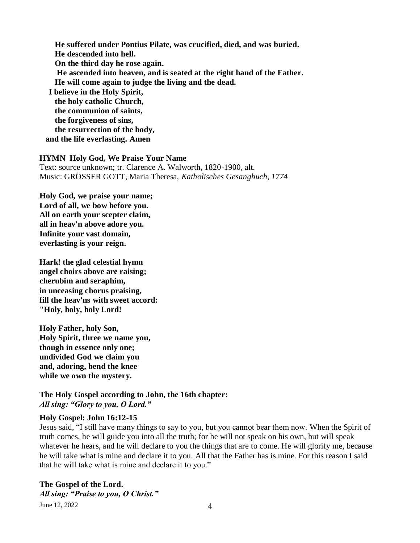**He suffered under Pontius Pilate, was crucified, died, and was buried. He descended into hell. On the third day he rose again. He ascended into heaven, and is seated at the right hand of the Father. He will come again to judge the living and the dead. I believe in the Holy Spirit, the holy catholic Church, the communion of saints, the forgiveness of sins, the resurrection of the body,**

 **and the life everlasting. Amen**

## **HYMN Holy God, We Praise Your Name**

Text: source unknown; tr. Clarence A. Walworth, 1820-1900, alt. Music: GRÖSSER GOTT, Maria Theresa, *Katholisches Gesangbuch, 1774*

**Holy God, we praise your name; Lord of all, we bow before you. All on earth your scepter claim, all in heav'n above adore you. Infinite your vast domain, everlasting is your reign.**

**Hark! the glad celestial hymn angel choirs above are raising; cherubim and seraphim, in unceasing chorus praising, fill the heav'ns with sweet accord: "Holy, holy, holy Lord!**

**Holy Father, holy Son, Holy Spirit, three we name you, though in essence only one; undivided God we claim you and, adoring, bend the knee while we own the mystery.**

**The Holy Gospel according to John, the 16th chapter:**  *All sing: "Glory to you, O Lord."*

### **Holy Gospel: John 16:12-15**

Jesus said, "I still have many things to say to you, but you cannot bear them now. When the Spirit of truth comes, he will guide you into all the truth; for he will not speak on his own, but will speak whatever he hears, and he will declare to you the things that are to come. He will glorify me, because he will take what is mine and declare it to you. All that the Father has is mine. For this reason I said that he will take what is mine and declare it to you."

June 12, 2022 4 **The Gospel of the Lord.** *All sing: "Praise to you, O Christ."*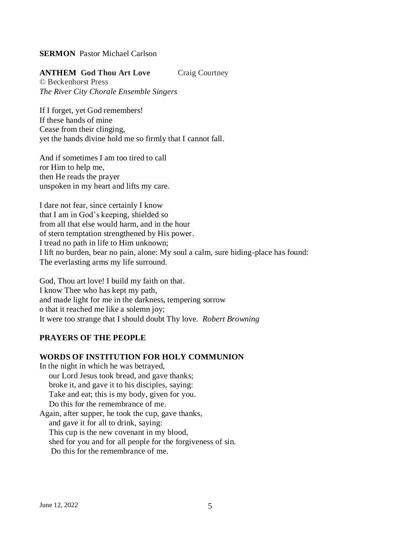### **SERMON** Pastor Michael Carlson

### **ANTHEM God Thou Art Love** Craig Courtney

© Beckenhorst Press *The River City Chorale Ensemble Singers*

If I forget, yet God remembers! If these hands of mine Cease from their clinging, yet the hands divine hold me so firmly that I cannot fall.

And if sometimes I am too tired to call ror Him to help me, then He reads the prayer unspoken in my heart and lifts my care.

I dare not fear, since certainly I know that I am in God's keeping, shielded so from all that else would harm, and in the hour of stern temptation strengthened by His power. I tread no path in life to Him unknown; I lift no burden, bear no pain, alone: My soul a calm, sure hiding-place has found: The everlasting arms my life surround.

God, Thou art love! I build my faith on that. I know Thee who has kept my path, and made light for me in the darkness, tempering sorrow o that it reached me like a solemn joy; It were too strange that I should doubt Thy love. *Robert Browning*

# **PRAYERS OF THE PEOPLE**

#### **WORDS OF INSTITUTION FOR HOLY COMMUNION**

In the night in which he was betrayed, our Lord Jesus took bread, and gave thanks; broke it, and gave it to his disciples, saying: Take and eat; this is my body, given for you. Do this for the remembrance of me. Again, after supper, he took the cup, gave thanks, and gave it for all to drink, saying: This cup is the new covenant in my blood, shed for you and for all people for the forgiveness of sin.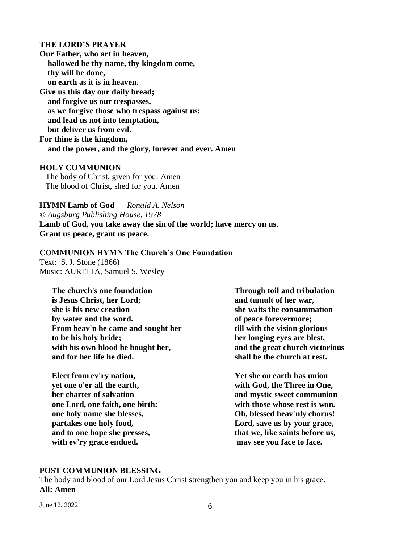#### **THE LORD'S PRAYER**

**Our Father, who art in heaven, hallowed be thy name, thy kingdom come, thy will be done, on earth as it is in heaven. Give us this day our daily bread; and forgive us our trespasses, as we forgive those who trespass against us; and lead us not into temptation, but deliver us from evil. For thine is the kingdom, and the power, and the glory, forever and ever. Amen** 

### **HOLY COMMUNION**

The body of Christ, given for you. Amen The blood of Christ, shed for you. Amen

**HYMN Lamb of God** *Ronald A. Nelson © Augsburg Publishing House, 1978* **Lamb of God, you take away the sin of the world; have mercy on us. Grant us peace, grant us peace.**

#### **COMMUNION HYMN The Church's One Foundation**  Text: S. J. Stone (1866)

Music: AURELIA, Samuel S. Wesley

**The church's one foundation is Jesus Christ, her Lord; she is his new creation by water and the word. From heav'n he came and sought her to be his holy bride; with his own blood he bought her, and for her life he died.**

**Elect from ev'ry nation, yet one o'er all the earth, her charter of salvation one Lord, one faith, one birth: one holy name she blesses, partakes one holy food, and to one hope she presses, with ev'ry grace endued.**

**Through toil and tribulation and tumult of her war, she waits the consummation of peace forevermore; till with the vision glorious her longing eyes are blest, and the great church victorious shall be the church at rest.**

**Yet she on earth has union with God, the Three in One, and mystic sweet communion with those whose rest is won. Oh, blessed heav'nly chorus! Lord, save us by your grace, that we, like saints before us, may see you face to face.**

#### **POST COMMUNION BLESSING**

The body and blood of our Lord Jesus Christ strengthen you and keep you in his grace. **All: Amen**

June 12, 2022  $\qquad \qquad 6$